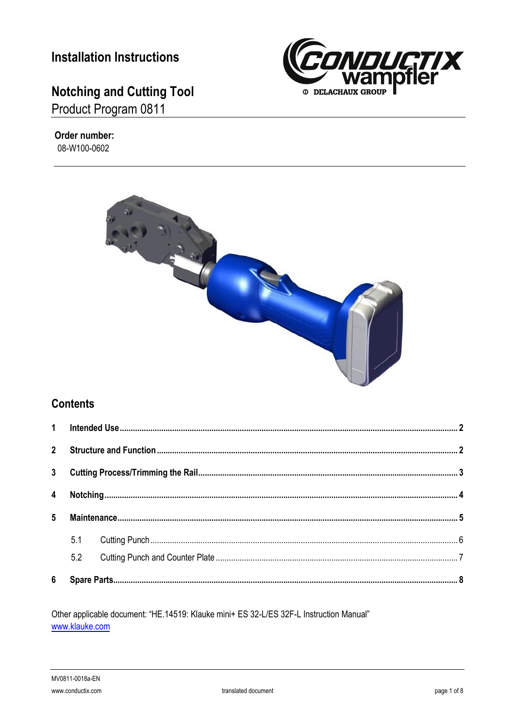# **Installation Instructions**

# **Notching and Cutting Tool**

Product Program 0811



#### Order number: 08-W100-0602



### **Contents**

| $\overline{4}$ |     |  |  |
|----------------|-----|--|--|
|                |     |  |  |
|                | 5.1 |  |  |
|                | 5.2 |  |  |
|                |     |  |  |

Other applicable document: "HE.14519: Klauke mini+ ES 32-L/ES 32F-L Instruction Manual" www.klauke.com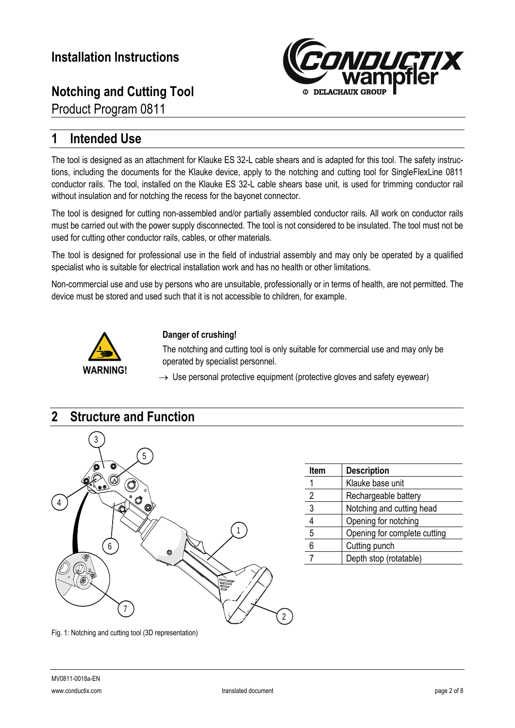

Product Program 0811

### <span id="page-1-0"></span>**1 Intended Use**

The tool is designed as an attachment for Klauke ES 32-L cable shears and is adapted for this tool. The safety instructions, including the documents for the Klauke device, apply to the notching and cutting tool for SingleFlexLine 0811 conductor rails. The tool, installed on the Klauke ES 32-L cable shears base unit, is used for trimming conductor rail without insulation and for notching the recess for the bayonet connector.

The tool is designed for cutting non-assembled and/or partially assembled conductor rails. All work on conductor rails must be carried out with the power supply disconnected. The tool is not considered to be insulated. The tool must not be used for cutting other conductor rails, cables, or other materials.

The tool is designed for professional use in the field of industrial assembly and may only be operated by a qualified specialist who is suitable for electrical installation work and has no health or other limitations.

Non-commercial use and use by persons who are unsuitable, professionally or in terms of health, are not permitted. The device must be stored and used such that it is not accessible to children, for example.



#### **Danger of crushing!**

The notching and cutting tool is only suitable for commercial use and may only be operated by specialist personnel.

 $\rightarrow$  Use personal protective equipment (protective gloves and safety eyewear)

<span id="page-1-1"></span>

| Item | <b>Description</b>           |
|------|------------------------------|
|      | Klauke base unit             |
| 2    | Rechargeable battery         |
| 3    | Notching and cutting head    |
|      | Opening for notching         |
| 5    | Opening for complete cutting |
| 6    | Cutting punch                |
|      | Depth stop (rotatable)       |
|      |                              |

<span id="page-1-2"></span>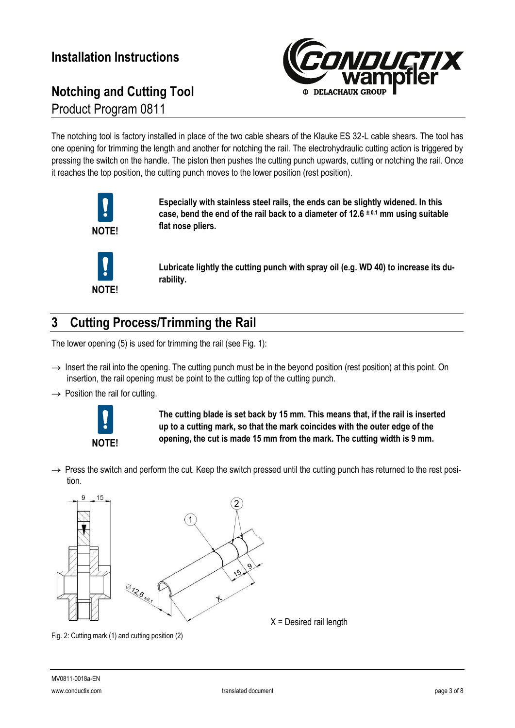# **Notching and Cutting Tool** Product Program 0811



The notching tool is factory installed in place of the two cable shears of the Klauke ES 32-L cable shears. The tool has one opening for trimming the length and another for notching the rail. The electrohydraulic cutting action is triggered by pressing the switch on the handle. The piston then pushes the cutting punch upwards, cutting or notching the rail. Once it reaches the top position, the cutting punch moves to the lower position (rest position).



**Especially with stainless steel rails, the ends can be slightly widened. In this case, bend the end of the rail back to a diameter of 12.6 ± 0.1 mm using suitable flat nose pliers.**

**NOTE!**

**Lubricate lightly the cutting punch with spray oil (e.g. WD 40) to increase its durability.**

## <span id="page-2-0"></span>**3 Cutting Process/Trimming the Rail**

The lower opening (5) is used for trimming the rail (se[e Fig. 1\)](#page-1-2):

- $\rightarrow$  Insert the rail into the opening. The cutting punch must be in the beyond position (rest position) at this point. On insertion, the rail opening must be point to the cutting top of the cutting punch.
- $\rightarrow$  Position the rail for cutting.



**The cutting blade is set back by 15 mm. This means that, if the rail is inserted up to a cutting mark, so that the mark coincides with the outer edge of the opening, the cut is made 15 mm from the mark. The cutting width is 9 mm.**

 $\rightarrow$  Press the switch and perform the cut. Keep the switch pressed until the cutting punch has returned to the rest position.



Fig. 2: Cutting mark (1) and cutting position (2)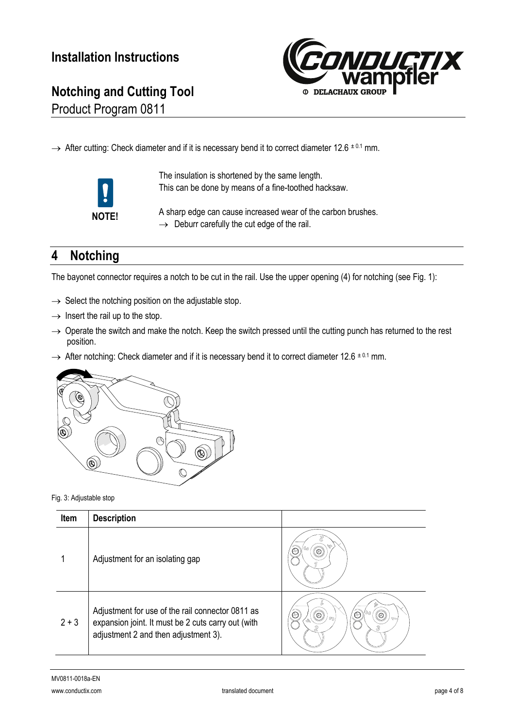

Product Program 0811

 $\rightarrow$  After cutting: Check diameter and if it is necessary bend it to correct diameter 12.6  $\pm$  0.1 mm.



The insulation is shortened by the same length. This can be done by means of a fine-toothed hacksaw.

A sharp edge can cause increased wear of the carbon brushes.  $\rightarrow$  Deburr carefully the cut edge of the rail.

# <span id="page-3-0"></span>**4 Notching**

The bayonet connector requires a notch to be cut in the rail. Use the upper opening (4) for notching (see [Fig. 1\)](#page-1-2):

- $\rightarrow$  Select the notching position on the adjustable stop.
- $\rightarrow$  Insert the rail up to the stop.
- $\rightarrow$  Operate the switch and make the notch. Keep the switch pressed until the cutting punch has returned to the rest position.
- $\rightarrow$  After notching: Check diameter and if it is necessary bend it to correct diameter 12.6  $\pm$  0.1 mm.



Fig. 3: Adjustable stop

| Item    | <b>Description</b>                                                                                                                             |                                                  |
|---------|------------------------------------------------------------------------------------------------------------------------------------------------|--------------------------------------------------|
|         | Adjustment for an isolating gap                                                                                                                | Œ<br>₩                                           |
| $2 + 3$ | Adjustment for use of the rail connector 0811 as<br>expansion joint. It must be 2 cuts carry out (with<br>adjustment 2 and then adjustment 3). | ¢<br>$\circledcirc$<br>Æ<br>$\circledcirc$<br>Ż. |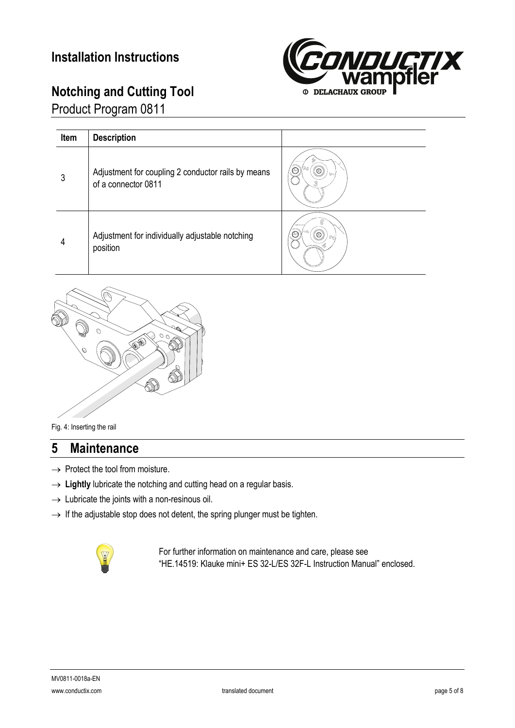Product Program 0811



| Item | <b>Description</b>                                                        |                |
|------|---------------------------------------------------------------------------|----------------|
| 3    | Adjustment for coupling 2 conductor rails by means<br>of a connector 0811 | $\circledcirc$ |
| 4    | Adjustment for individually adjustable notching<br>position               | S              |



#### Fig. 4: Inserting the rail

### <span id="page-4-0"></span>**5 Maintenance**

- $\rightarrow$  Protect the tool from moisture.
- $\rightarrow$  Lightly lubricate the notching and cutting head on a regular basis.
- $\rightarrow$  Lubricate the joints with a non-resinous oil.
- $\rightarrow$  If the adjustable stop does not detent, the spring plunger must be tighten.



For further information on maintenance and care, please see "HE.14519: Klauke mini+ ES 32-L/ES 32F-L Instruction Manual" enclosed.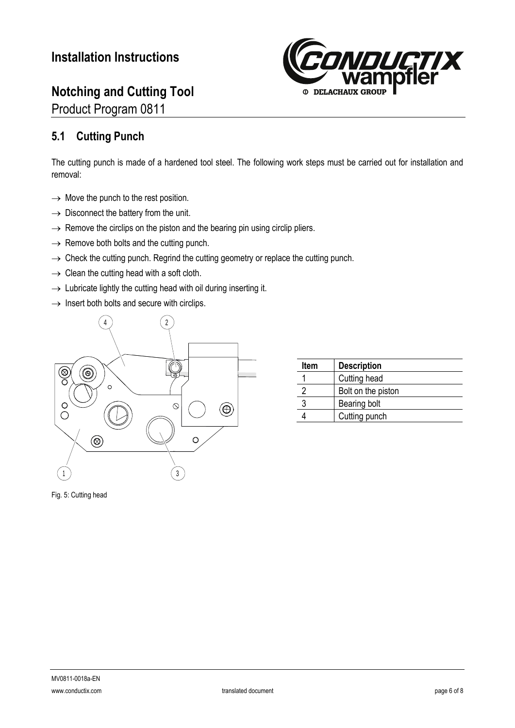Product Program 0811



### <span id="page-5-0"></span>**5.1 Cutting Punch**

The cutting punch is made of a hardened tool steel. The following work steps must be carried out for installation and removal:

- $\rightarrow$  Move the punch to the rest position.
- $\rightarrow$  Disconnect the battery from the unit.
- $\rightarrow$  Remove the circlips on the piston and the bearing pin using circlip pliers.
- $\rightarrow$  Remove both bolts and the cutting punch.
- $\rightarrow$  Check the cutting punch. Regrind the cutting geometry or replace the cutting punch.
- $\rightarrow$  Clean the cutting head with a soft cloth.
- $\rightarrow$  Lubricate lightly the cutting head with oil during inserting it.
- $\rightarrow$  Insert both bolts and secure with circlips.



| <b>Item</b> | <b>Description</b> |
|-------------|--------------------|
|             | Cutting head       |
|             | Bolt on the piston |
|             | Bearing bolt       |
|             | Cutting punch      |

Fig. 5: Cutting head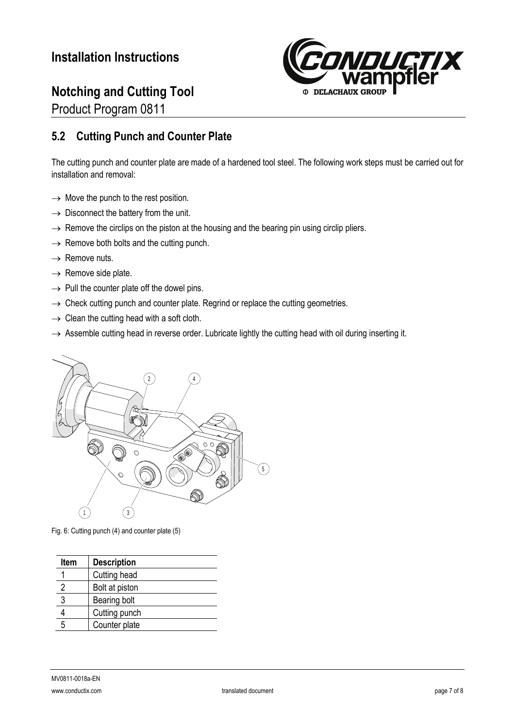Product Program 0811



### <span id="page-6-0"></span>**5.2 Cutting Punch and Counter Plate**

The cutting punch and counter plate are made of a hardened tool steel. The following work steps must be carried out for installation and removal:

- $\rightarrow$  Move the punch to the rest position.
- $\rightarrow$  Disconnect the battery from the unit.
- $\rightarrow$  Remove the circlips on the piston at the housing and the bearing pin using circlip pliers.
- $\rightarrow$  Remove both bolts and the cutting punch.
- $\rightarrow$  Remove nuts.
- $\rightarrow$  Remove side plate.
- $\rightarrow$  Pull the counter plate off the dowel pins.
- $\rightarrow$  Check cutting punch and counter plate. Regrind or replace the cutting geometries.
- $\rightarrow$  Clean the cutting head with a soft cloth.
- $\rightarrow$  Assemble cutting head in reverse order. Lubricate lightly the cutting head with oil during inserting it.



Fig. 6: Cutting punch (4) and counter plate (5)

| <b>Description</b> |
|--------------------|
| Cutting head       |
| Bolt at piston     |
| Bearing bolt       |
| Cutting punch      |
| Counter plate      |
|                    |